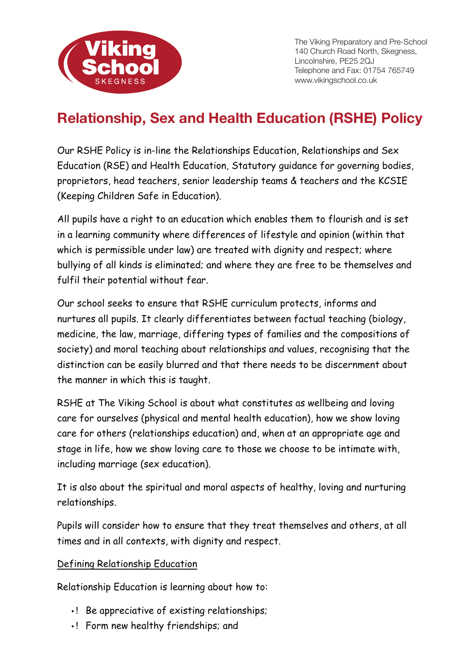

The Viking Preparatory and Pre-School 140 Church Road North, Skegness, Lincolnshire, PE25 2QJ Telephone and Fax: 01754 765749 www.vikingschool.co.uk

# **Relationship, Sex and Health Education (RSHE) Policy**

Our RSHE Policy is in-line the Relationships Education, Relationships and Sex Education (RSE) and Health Education, Statutory guidance for governing bodies, proprietors, head teachers, senior leadership teams & teachers and the KCSIE (Keeping Children Safe in Education).

All pupils have a right to an education which enables them to flourish and is set in a learning community where differences of lifestyle and opinion (within that which is permissible under law) are treated with dignity and respect; where bullying of all kinds is eliminated; and where they are free to be themselves and fulfil their potential without fear.

Our school seeks to ensure that RSHE curriculum protects, informs and nurtures all pupils. It clearly differentiates between factual teaching (biology, medicine, the law, marriage, differing types of families and the compositions of society) and moral teaching about relationships and values, recognising that the distinction can be easily blurred and that there needs to be discernment about the manner in which this is taught.

RSHE at The Viking School is about what constitutes as wellbeing and loving care for ourselves (physical and mental health education), how we show loving care for others (relationships education) and, when at an appropriate age and stage in life, how we show loving care to those we choose to be intimate with, including marriage (sex education).

It is also about the spiritual and moral aspects of healthy, loving and nurturing relationships.

Pupils will consider how to ensure that they treat themselves and others, at all times and in all contexts, with dignity and respect.

#### Defining Relationship Education

Relationship Education is learning about how to:

- ! Be appreciative of existing relationships;
- ! Form new healthy friendships; and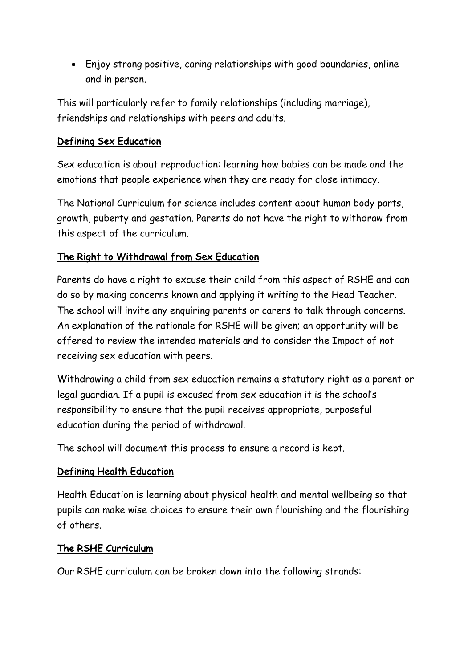• Enjoy strong positive, caring relationships with good boundaries, online and in person.

This will particularly refer to family relationships (including marriage), friendships and relationships with peers and adults.

## Defining Sex Education

Sex education is about reproduction: learning how babies can be made and the emotions that people experience when they are ready for close intimacy.

The National Curriculum for science includes content about human body parts, growth, puberty and gestation. Parents do not have the right to withdraw from this aspect of the curriculum.

## The Right to Withdrawal from Sex Education

Parents do have a right to excuse their child from this aspect of RSHE and can do so by making concerns known and applying it writing to the Head Teacher. The school will invite any enquiring parents or carers to talk through concerns. An explanation of the rationale for RSHE will be given; an opportunity will be offered to review the intended materials and to consider the Impact of not receiving sex education with peers.

Withdrawing a child from sex education remains a statutory right as a parent or legal guardian. If a pupil is excused from sex education it is the school's responsibility to ensure that the pupil receives appropriate, purposeful education during the period of withdrawal.

The school will document this process to ensure a record is kept.

## Defining Health Education

Health Education is learning about physical health and mental wellbeing so that pupils can make wise choices to ensure their own flourishing and the flourishing of others.

#### The RSHE Curriculum

Our RSHE curriculum can be broken down into the following strands: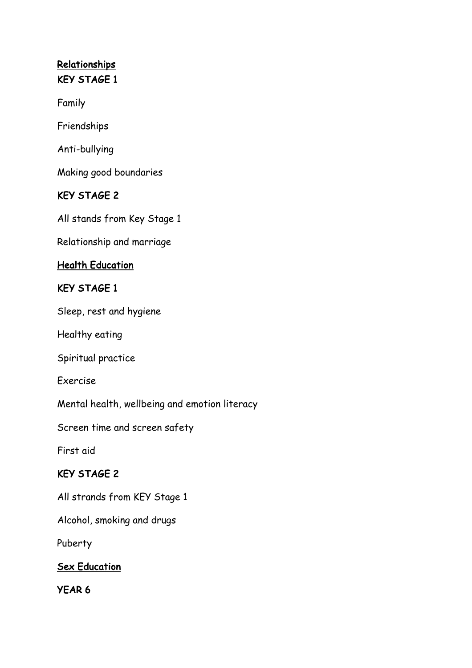## **Relationships** KEY STAGE 1

Family

Friendships

Anti-bullying

Making good boundaries

## KEY STAGE 2

All stands from Key Stage 1

Relationship and marriage

#### Health Education

#### KEY STAGE 1

Sleep, rest and hygiene

Healthy eating

Spiritual practice

Exercise

Mental health, wellbeing and emotion literacy

Screen time and screen safety

First aid

## KEY STAGE 2

All strands from KEY Stage 1

Alcohol, smoking and drugs

Puberty

## **Sex Education**

YEAR 6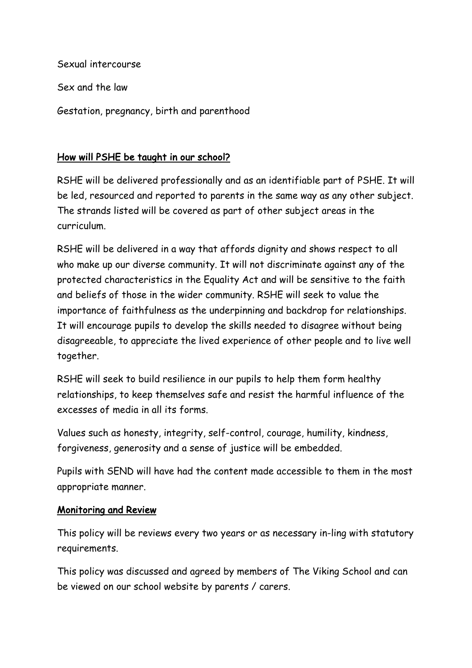Sexual intercourse Sex and the law Gestation, pregnancy, birth and parenthood

## How will PSHE be taught in our school?

RSHE will be delivered professionally and as an identifiable part of PSHE. It will be led, resourced and reported to parents in the same way as any other subject. The strands listed will be covered as part of other subject areas in the curriculum.

RSHE will be delivered in a way that affords dignity and shows respect to all who make up our diverse community. It will not discriminate against any of the protected characteristics in the Equality Act and will be sensitive to the faith and beliefs of those in the wider community. RSHE will seek to value the importance of faithfulness as the underpinning and backdrop for relationships. It will encourage pupils to develop the skills needed to disagree without being disagreeable, to appreciate the lived experience of other people and to live well together.

RSHE will seek to build resilience in our pupils to help them form healthy relationships, to keep themselves safe and resist the harmful influence of the excesses of media in all its forms.

Values such as honesty, integrity, self-control, courage, humility, kindness, forgiveness, generosity and a sense of justice will be embedded.

Pupils with SEND will have had the content made accessible to them in the most appropriate manner.

#### Monitoring and Review

This policy will be reviews every two years or as necessary in-ling with statutory requirements.

This policy was discussed and agreed by members of The Viking School and can be viewed on our school website by parents / carers.